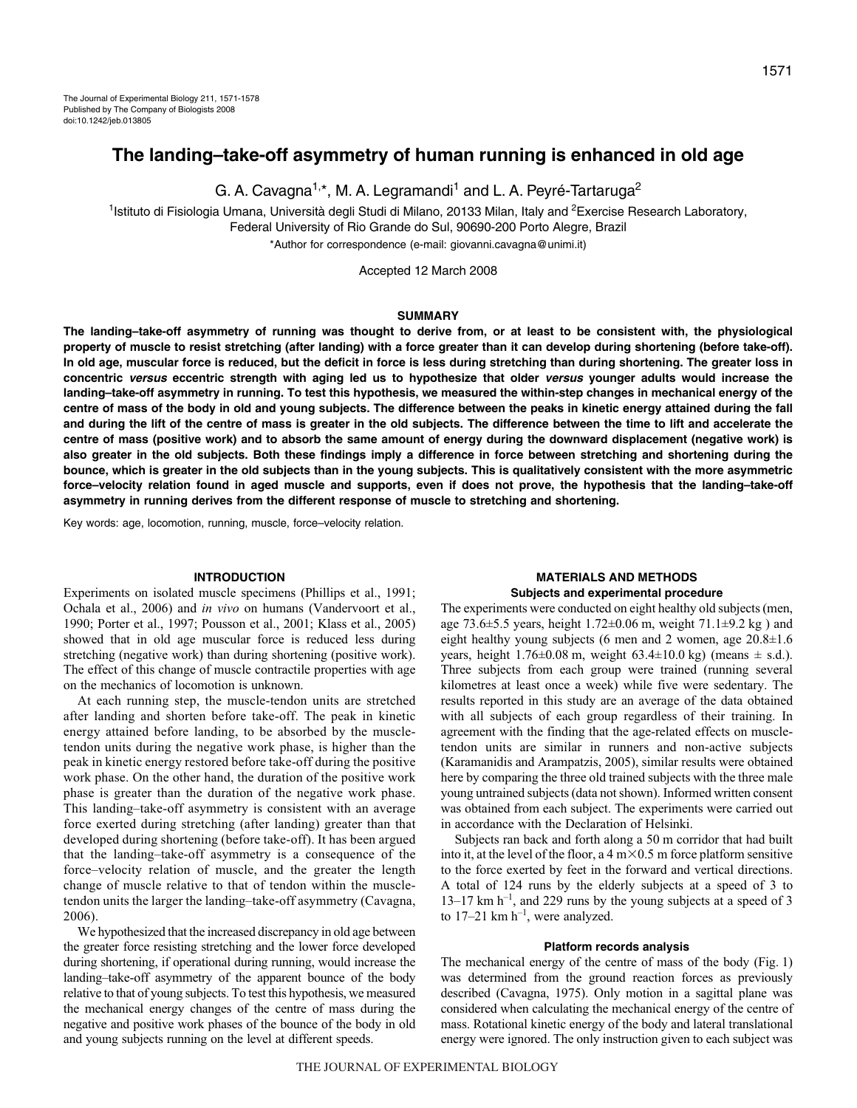# **The landing–take-off asymmetry of human running is enhanced in old age**

G. A. Cavagna<sup>1,\*</sup>, M. A. Legramandi<sup>1</sup> and L. A. Peyré-Tartaruga<sup>2</sup>

<sup>1</sup>Istituto di Fisiologia Umana, Università degli Studi di Milano, 20133 Milan, Italy and <sup>2</sup>Exercise Research Laboratory, Federal University of Rio Grande do Sul, 90690-200 Porto Alegre, Brazil

\*Author for correspondence (e-mail: giovanni.cavagna@unimi.it)

Accepted 12 March 2008

#### **SUMMARY**

**The landing–take-off asymmetry of running was thought to derive from, or at least to be consistent with, the physiological property of muscle to resist stretching (after landing) with a force greater than it can develop during shortening (before take-off). In old age, muscular force is reduced, but the deficit in force is less during stretching than during shortening. The greater loss in concentric versus eccentric strength with aging led us to hypothesize that older versus younger adults would increase the landing–take-off asymmetry in running. To test this hypothesis, we measured the within-step changes in mechanical energy of the centre of mass of the body in old and young subjects. The difference between the peaks in kinetic energy attained during the fall and during the lift of the centre of mass is greater in the old subjects. The difference between the time to lift and accelerate the centre of mass (positive work) and to absorb the same amount of energy during the downward displacement (negative work) is also greater in the old subjects. Both these findings imply a difference in force between stretching and shortening during the bounce, which is greater in the old subjects than in the young subjects. This is qualitatively consistent with the more asymmetric force–velocity relation found in aged muscle and supports, even if does not prove, the hypothesis that the landing–take-off asymmetry in running derives from the different response of muscle to stretching and shortening.**

Key words: age, locomotion, running, muscle, force–velocity relation.

## **INTRODUCTION**

Experiments on isolated muscle specimens (Phillips et al., 1991; Ochala et al., 2006) and *in vivo* on humans (Vandervoort et al., 1990; Porter et al., 1997; Pousson et al., 2001; Klass et al., 2005) showed that in old age muscular force is reduced less during stretching (negative work) than during shortening (positive work). The effect of this change of muscle contractile properties with age on the mechanics of locomotion is unknown.

At each running step, the muscle-tendon units are stretched after landing and shorten before take-off. The peak in kinetic energy attained before landing, to be absorbed by the muscletendon units during the negative work phase, is higher than the peak in kinetic energy restored before take-off during the positive work phase. On the other hand, the duration of the positive work phase is greater than the duration of the negative work phase. This landing–take-off asymmetry is consistent with an average force exerted during stretching (after landing) greater than that developed during shortening (before take-off). It has been argued that the landing–take-off asymmetry is a consequence of the force–velocity relation of muscle, and the greater the length change of muscle relative to that of tendon within the muscletendon units the larger the landing–take-off asymmetry (Cavagna, 2006).

We hypothesized that the increased discrepancy in old age between the greater force resisting stretching and the lower force developed during shortening, if operational during running, would increase the landing–take-off asymmetry of the apparent bounce of the body relative to that of young subjects. To test this hypothesis, we measured the mechanical energy changes of the centre of mass during the negative and positive work phases of the bounce of the body in old and young subjects running on the level at different speeds.

## **MATERIALS AND METHODS Subjects and experimental procedure**

The experiments were conducted on eight healthy old subjects (men, age 73.6 $\pm$ 5.5 years, height 1.72 $\pm$ 0.06 m, weight 71.1 $\pm$ 9.2 kg) and eight healthy young subjects (6 men and 2 women, age 20.8±1.6 years, height  $1.76\pm0.08$  m, weight  $63.4\pm10.0$  kg) (means  $\pm$  s.d.). Three subjects from each group were trained (running several kilometres at least once a week) while five were sedentary. The results reported in this study are an average of the data obtained with all subjects of each group regardless of their training. In agreement with the finding that the age-related effects on muscletendon units are similar in runners and non-active subjects (Karamanidis and Arampatzis, 2005), similar results were obtained here by comparing the three old trained subjects with the three male young untrained subjects (data not shown). Informed written consent was obtained from each subject. The experiments were carried out in accordance with the Declaration of Helsinki.

Subjects ran back and forth along a 50 m corridor that had built into it, at the level of the floor, a  $4 \text{ m} \times 0.5 \text{ m}$  force platform sensitive to the force exerted by feet in the forward and vertical directions. A total of 124 runs by the elderly subjects at a speed of 3 to 13–17 km  $h^{-1}$ , and 229 runs by the young subjects at a speed of 3 to  $17-21$  km  $h^{-1}$ , were analyzed.

#### **Platform records analysis**

The mechanical energy of the centre of mass of the body (Fig. 1) was determined from the ground reaction forces as previously described (Cavagna, 1975). Only motion in a sagittal plane was considered when calculating the mechanical energy of the centre of mass. Rotational kinetic energy of the body and lateral translational energy were ignored. The only instruction given to each subject was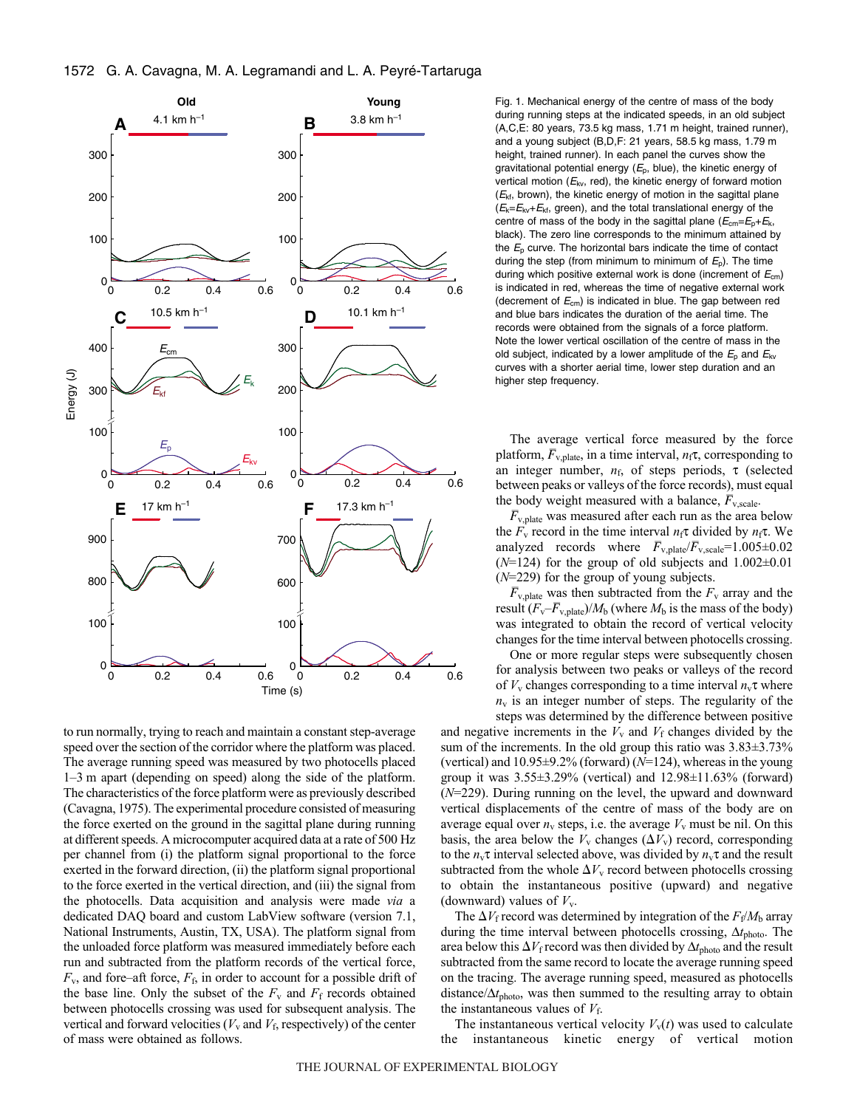

to run normally, trying to reach and maintain a constant step-average speed over the section of the corridor where the platform was placed. The average running speed was measured by two photocells placed 1–3 m apart (depending on speed) along the side of the platform. The characteristics of the force platform were as previously described (Cavagna, 1975). The experimental procedure consisted of measuring the force exerted on the ground in the sagittal plane during running at different speeds. A microcomputer acquired data at a rate of 500 Hz per channel from (i) the platform signal proportional to the force exerted in the forward direction, (ii) the platform signal proportional to the force exerted in the vertical direction, and (iii) the signal from the photocells. Data acquisition and analysis were made *via* a dedicated DAQ board and custom LabView software (version 7.1, National Instruments, Austin, TX, USA). The platform signal from the unloaded force platform was measured immediately before each run and subtracted from the platform records of the vertical force,  $F_v$ , and fore–aft force,  $F_f$ , in order to account for a possible drift of the base line. Only the subset of the  $F_v$  and  $F_f$  records obtained between photocells crossing was used for subsequent analysis. The vertical and forward velocities ( $V<sub>v</sub>$  and  $V<sub>f</sub>$ , respectively) of the center of mass were obtained as follows.

Fig. 1. Mechanical energy of the centre of mass of the body during running steps at the indicated speeds, in an old subject (A,C,E: 80 years, 73.5 kg mass, 1.71 m height, trained runner), and a young subject (B,D,F: 21 years, 58.5 kg mass, 1.79 m height, trained runner). In each panel the curves show the gravitational potential energy  $(E_{\rm p}$ , blue), the kinetic energy of vertical motion  $(E_{kv}, \text{red})$ , the kinetic energy of forward motion  $(E<sub>kt</sub>, brown)$ , the kinetic energy of motion in the sagittal plane  $(E_k=E_{kv}+E_{kf}$ , green), and the total translational energy of the centre of mass of the body in the sagittal plane  $(E_{cm}=E_{p}+E_{k}$ , black). The zero line corresponds to the minimum attained by the  $E<sub>p</sub>$  curve. The horizontal bars indicate the time of contact during the step (from minimum to minimum of  $E<sub>0</sub>$ ). The time during which positive external work is done (increment of  $E_{cm}$ ) is indicated in red, whereas the time of negative external work (decrement of  $E_{cm}$ ) is indicated in blue. The gap between red and blue bars indicates the duration of the aerial time. The records were obtained from the signals of a force platform. Note the lower vertical oscillation of the centre of mass in the old subject, indicated by a lower amplitude of the  $E_p$  and  $E_{kv}$ curves with a shorter aerial time, lower step duration and an higher step frequency.

The average vertical force measured by the force platform,  $\overline{F}_{v,plate}$ , in a time interval,  $n_f\tau$ , corresponding to an integer number,  $n_f$ , of steps periods,  $\tau$  (selected between peaks or valleys of the force records), must equal the body weight measured with a balance,  $\bar{F}_{v,scale}$ .

 $\bar{F}_{v,plate}$  was measured after each run as the area below the  $F_v$  record in the time interval  $n_f \tau$  divided by  $n_f \tau$ . We analyzed records where  $\bar{F}_{v,plate}/\bar{F}_{v,scale}=1.005\pm0.02$  $(N=124)$  for the group of old subjects and  $1.002\pm0.01$ (*N*=229) for the group of young subjects.

 $\overline{F}_{v,plate}$  was then subtracted from the  $F_v$  array and the result  $(F_v$ – $\overline{F}_{v,plate}$ )/ $M_b$  (where  $M_b$  is the mass of the body) was integrated to obtain the record of vertical velocity changes for the time interval between photocells crossing.

One or more regular steps were subsequently chosen for analysis between two peaks or valleys of the record of  $V_v$  changes corresponding to a time interval  $n_v \tau$  where  $n_v$  is an integer number of steps. The regularity of the steps was determined by the difference between positive

and negative increments in the  $V<sub>v</sub>$  and  $V<sub>f</sub>$  changes divided by the sum of the increments. In the old group this ratio was  $3.83\pm3.73\%$ (vertical) and 10.95±9.2% (forward) (*N*=124), whereas in the young group it was 3.55±3.29% (vertical) and 12.98±11.63% (forward) (*N*=229). During running on the level, the upward and downward vertical displacements of the centre of mass of the body are on average equal over  $n_v$  steps, i.e. the average  $V_v$  must be nil. On this basis, the area below the  $V_v$  changes  $(\Delta V_v)$  record, corresponding to the  $n_v\tau$  interval selected above, was divided by  $n_v\tau$  and the result subtracted from the whole  $\Delta V_{\rm v}$  record between photocells crossing to obtain the instantaneous positive (upward) and negative (downward) values of  $V_v$ .

The  $\Delta V_f$  record was determined by integration of the  $F_f/M_b$  array during the time interval between photocells crossing, Δ*t*photo. The area below this  $\Delta V_f$  record was then divided by  $\Delta t_{\text{photo}}$  and the result subtracted from the same record to locate the average running speed on the tracing. The average running speed, measured as photocells distance/ $\Delta t_{\text{photo}}$ , was then summed to the resulting array to obtain the instantaneous values of  $V_f$ .

The instantaneous vertical velocity  $V_v(t)$  was used to calculate the instantaneous kinetic energy of vertical motion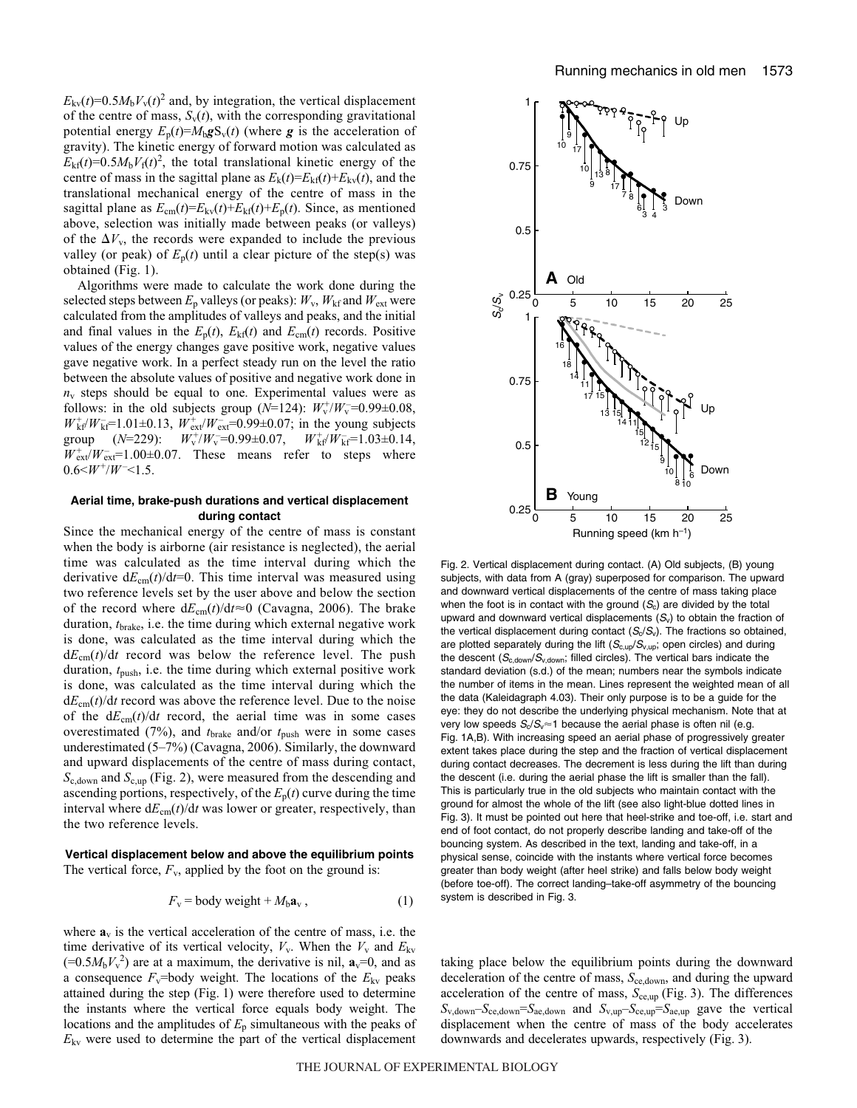$E_{kv}(t)$ =0.5 $M_bV_v(t)^2$  and, by integration, the vertical displacement of the centre of mass,  $S_v(t)$ , with the corresponding gravitational potential energy  $E_p(t) = M_b g S_v(t)$  (where *g* is the acceleration of gravity). The kinetic energy of forward motion was calculated as  $E_{kf}(t) = 0.5M_bV_f(t)^2$ , the total translational kinetic energy of the centre of mass in the sagittal plane as  $E_k(t) = E_{k}f(t) + E_{k}f(t)$ , and the translational mechanical energy of the centre of mass in the sagittal plane as  $E_{cm}(t) = E_{kv}(t) + E_{kt}(t) + E_p(t)$ . Since, as mentioned above, selection was initially made between peaks (or valleys) of the  $\Delta V_{\rm v}$ , the records were expanded to include the previous valley (or peak) of  $E_p(t)$  until a clear picture of the step(s) was obtained (Fig. 1).

Algorithms were made to calculate the work done during the selected steps between  $E_p$  valleys (or peaks):  $W_v$ ,  $W_{kf}$  and  $W_{ext}$  were calculated from the amplitudes of valleys and peaks, and the initial and final values in the  $E_p(t)$ ,  $E_{kf}(t)$  and  $E_{cm}(t)$  records. Positive values of the energy changes gave positive work, negative values gave negative work. In a perfect steady run on the level the ratio between the absolute values of positive and negative work done in  $n_v$  steps should be equal to one. Experimental values were as follows: in the old subjects group ( $N=124$ ):  $W_v^+/W_v^-=0.99\pm0.08$ ,  $W_{\text{kf}}^+ / W_{\text{kf}}^- = 1.01 \pm 0.13$ ,  $W_{\text{ext}}^+ / W_{\text{ext}}^- = 0.99 \pm 0.07$ ; in the young subjects group  $(N=229)$ :  $W_V^+ / W_V^-$  = 0.99± 0.07,  $W_{\text{kf}}^+ / W_{\text{kf}}^-$  = 1.03± 0.14,  $W_{ext}^+ / W_{ext}^- = 1.00 \pm 0.07$ . These means refer to steps where  $0.6 \leq W^+ / W^- \leq 1.5$ .

#### **Aerial time, brake-push durations and vertical displacement during contact**

Since the mechanical energy of the centre of mass is constant when the body is airborne (air resistance is neglected), the aerial time was calculated as the time interval during which the derivative  $dE_{cm}(t)/dt=0$ . This time interval was measured using two reference levels set by the user above and below the section of the record where  $dE_{cm}(t)/dt \approx 0$  (Cavagna, 2006). The brake duration, *t*brake, i.e. the time during which external negative work is done, was calculated as the time interval during which the  $dE_{cm}(t)/dt$  record was below the reference level. The push duration, *t*push, i.e. the time during which external positive work is done, was calculated as the time interval during which the  $dE_{cm}(t)/dt$  record was above the reference level. Due to the noise of the  $dE_{cm}(t)/dt$  record, the aerial time was in some cases overestimated (7%), and *t*brake and/or *t*push were in some cases underestimated (5–7%) (Cavagna, 2006). Similarly, the downward and upward displacements of the centre of mass during contact, *S*c,down and *S*c,up (Fig.·2), were measured from the descending and ascending portions, respectively, of the  $E_p(t)$  curve during the time interval where  $dE_{cm}(t)/dt$  was lower or greater, respectively, than the two reference levels.

**Vertical displacement below and above the equilibrium points** The vertical force,  $F_v$ , applied by the foot on the ground is:

$$
F_{\rm v} = \text{body weight} + M_{\rm b} \mathbf{a}_{\rm v},\tag{1}
$$

where  $\mathbf{a}_v$  is the vertical acceleration of the centre of mass, i.e. the time derivative of its vertical velocity,  $V_v$ . When the  $V_v$  and  $E_{kv}$  $(=0.5M_bV_v^2)$  are at a maximum, the derivative is nil,  $\mathbf{a}_v=0$ , and as a consequence  $F_v$ =body weight. The locations of the  $E_{kv}$  peaks attained during the step  $(Fig. 1)$  were therefore used to determine the instants where the vertical force equals body weight. The locations and the amplitudes of  $E_p$  simultaneous with the peaks of  $E_{kv}$  were used to determine the part of the vertical displacement



Fig. 2. Vertical displacement during contact. (A) Old subjects, (B) young subjects, with data from A (gray) superposed for comparison. The upward and downward vertical displacements of the centre of mass taking place when the foot is in contact with the ground  $(S_c)$  are divided by the total upward and downward vertical displacements  $(S_v)$  to obtain the fraction of the vertical displacement during contact  $(S_o/S_v)$ . The fractions so obtained, are plotted separately during the lift  $(S_{c,up}/S_{v,up};$  open circles) and during the descent  $(S_{c,down}/S_{v,down})$ ; filled circles). The vertical bars indicate the standard deviation (s.d.) of the mean; numbers near the symbols indicate the number of items in the mean. Lines represent the weighted mean of all the data (Kaleidagraph 4.03). Their only purpose is to be a guide for the eye: they do not describe the underlying physical mechanism. Note that at very low speeds  $S_{\!o\!}/S_{\!o} {\approx} 1$  because the aerial phase is often nil (e.g. Fig. 1A,B). With increasing speed an aerial phase of progressively greater extent takes place during the step and the fraction of vertical displacement during contact decreases. The decrement is less during the lift than during the descent (i.e. during the aerial phase the lift is smaller than the fall). This is particularly true in the old subjects who maintain contact with the ground for almost the whole of the lift (see also light-blue dotted lines in Fig. 3). It must be pointed out here that heel-strike and toe-off, i.e. start and end of foot contact, do not properly describe landing and take-off of the bouncing system. As described in the text, landing and take-off, in a physical sense, coincide with the instants where vertical force becomes greater than body weight (after heel strike) and falls below body weight (before toe-off). The correct landing–take-off asymmetry of the bouncing system is described in Fig. 3.

taking place below the equilibrium points during the downward deceleration of the centre of mass,  $S_{\text{ce,down}}$ , and during the upward acceleration of the centre of mass,  $S_{ce,up}$  (Fig. 3). The differences *S*v,down–*S*ce,down=*S*ae,down and *S*v,up–*S*ce,up=*S*ae,up gave the vertical displacement when the centre of mass of the body accelerates downwards and decelerates upwards, respectively (Fig. 3).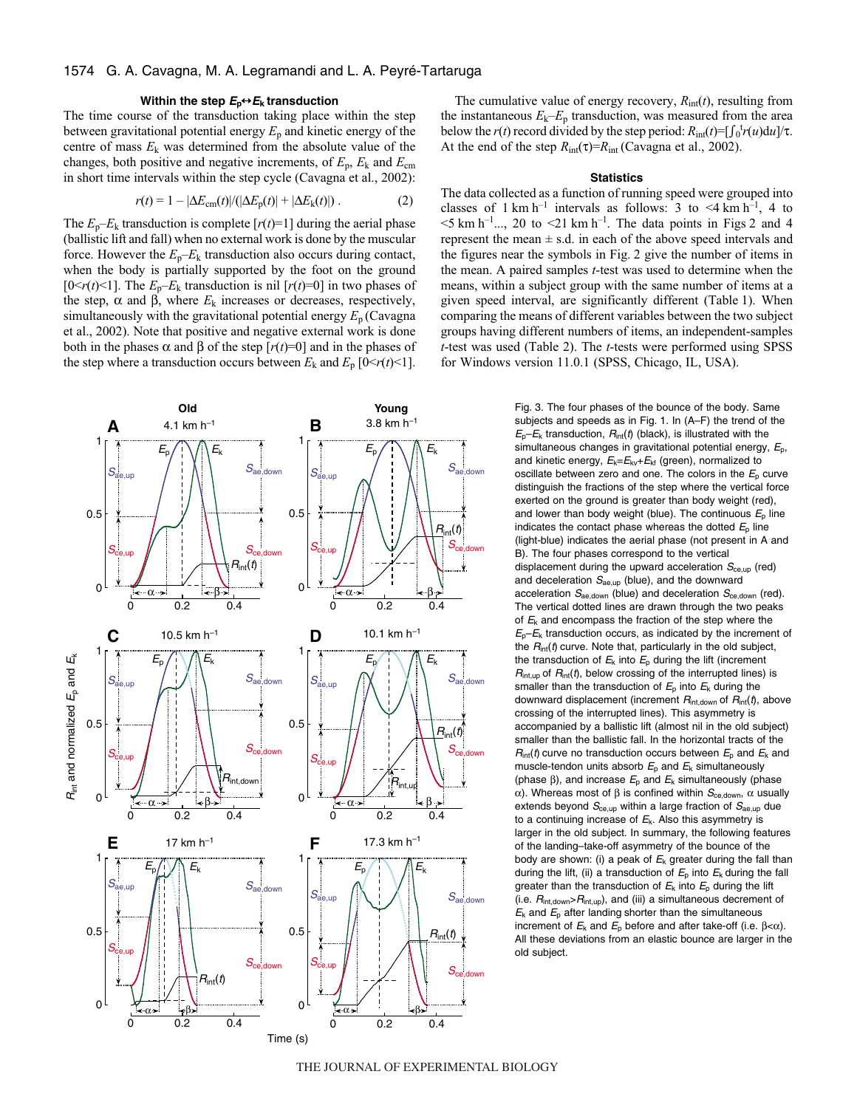#### **Within the step**  $E_p \leftrightarrow E_k$  **transduction**

The time course of the transduction taking place within the step between gravitational potential energy *E*<sup>p</sup> and kinetic energy of the centre of mass *E*<sup>k</sup> was determined from the absolute value of the changes, both positive and negative increments, of  $E_p$ ,  $E_k$  and  $E_{cm}$ in short time intervals within the step cycle (Cavagna et al., 2002):

$$
r(t) = 1 - |\Delta E_{\rm cm}(t)| / (|\Delta E_{\rm p}(t)| + |\Delta E_{\rm k}(t)|) \,. \tag{2}
$$

The  $E_p - E_k$  transduction is complete  $[r(t)=1]$  during the aerial phase (ballistic lift and fall) when no external work is done by the muscular force. However the  $E_p - E_k$  transduction also occurs during contact, when the body is partially supported by the foot on the ground [0< $r(t)$  < 1]. The  $E_p$ – $E_k$  transduction is nil [ $r(t)$ =0] in two phases of the step,  $\alpha$  and  $\beta$ , where  $E_k$  increases or decreases, respectively, simultaneously with the gravitational potential energy *E*p (Cavagna et al., 2002). Note that positive and negative external work is done both in the phases α and β of the step  $[r(t)=0]$  and in the phases of the step where a transduction occurs between  $E_k$  and  $E_p$  [0 $\leq r(t) \leq 1$ ].



The cumulative value of energy recovery,  $R_{int}(t)$ , resulting from the instantaneous  $E_k - E_p$  transduction, was measured from the area below the *r*(*t*) record divided by the step period:  $R_{int}(t) = [ \int_0^t r(u) \, du ] / \tau$ . At the end of the step  $R_{\text{int}}(\tau)=R_{\text{int}}$  (Cavagna et al., 2002).

#### **Statistics**

The data collected as a function of running speed were grouped into classes of  $1 \text{ km h}^{-1}$  intervals as follows: 3 to <4 km h<sup>-1</sup>, 4 to  $\leq$ 5 km h<sup>-1</sup>..., 20 to  $\leq$ 1 km h<sup>-1</sup>. The data points in Figs 2 and 4 represent the mean  $\pm$  s.d. in each of the above speed intervals and the figures near the symbols in Fig. 2 give the number of items in the mean. A paired samples *t*-test was used to determine when the means, within a subject group with the same number of items at a given speed interval, are significantly different (Table 1). When comparing the means of different variables between the two subject groups having different numbers of items, an independent-samples *t*-test was used (Table 2). The *t*-tests were performed using SPSS for Windows version 11.0.1 (SPSS, Chicago, IL, USA).

> Fig. 3. The four phases of the bounce of the body. Same subjects and speeds as in Fig. 1. In (A–F) the trend of the  $E_p-E_k$  transduction,  $R_{int}(t)$  (black), is illustrated with the simultaneous changes in gravitational potential energy,  $E<sub>0</sub>$ , and kinetic energy,  $E_k = E_{kv} + E_{kf}$  (green), normalized to oscillate between zero and one. The colors in the  $E<sub>p</sub>$  curve distinguish the fractions of the step where the vertical force exerted on the ground is greater than body weight (red), and lower than body weight (blue). The continuous  $E<sub>0</sub>$  line indicates the contact phase whereas the dotted  $E<sub>0</sub>$  line (light-blue) indicates the aerial phase (not present in A and B). The four phases correspond to the vertical displacement during the upward acceleration  $S_{ce,up}$  (red) and deceleration  $S_{ae,up}$  (blue), and the downward acceleration  $S_{ae,down}$  (blue) and deceleration  $S_{ce,down}$  (red). The vertical dotted lines are drawn through the two peaks of  $E_k$  and encompass the fraction of the step where the  $E_p-E_k$  transduction occurs, as indicated by the increment of the  $R_{\text{int}}(t)$  curve. Note that, particularly in the old subject, the transduction of  $E_k$  into  $E_p$  during the lift (increment  $R_{\text{int,up}}$  of  $R_{\text{int}}(t)$ , below crossing of the interrupted lines) is smaller than the transduction of  $E_p$  into  $E_k$  during the downward displacement (increment  $R_{int,down}$  of  $R_{int}(t)$ , above crossing of the interrupted lines). This asymmetry is accompanied by a ballistic lift (almost nil in the old subject) smaller than the ballistic fall. In the horizontal tracts of the  $R_{\text{int}}(t)$  curve no transduction occurs between  $E_{\text{p}}$  and  $E_{\text{k}}$  and muscle-tendon units absorb  $E_p$  and  $E_k$  simultaneously (phase  $\beta$ ), and increase  $E_p$  and  $E_k$  simultaneously (phase α). Whereas most of  $\beta$  is confined within  $S_{ce, down}$ , α usually extends beyond  $S_{ce,up}$  within a large fraction of  $S_{ae,up}$  due to a continuing increase of  $E_k$ . Also this asymmetry is larger in the old subject. In summary, the following features of the landing–take-off asymmetry of the bounce of the body are shown: (i) a peak of  $E_k$  greater during the fall than during the lift, (ii) a transduction of  $E<sub>p</sub>$  into  $E<sub>k</sub>$  during the fall greater than the transduction of  $E_k$  into  $E_p$  during the lift (i.e.  $R_{\text{int,down}} > R_{\text{int,up}}$ ), and (iii) a simultaneous decrement of  $E_k$  and  $E_p$  after landing shorter than the simultaneous increment of  $E_k$  and  $E_p$  before and after take-off (i.e.  $\beta < \alpha$ ). All these deviations from an elastic bounce are larger in the old subject.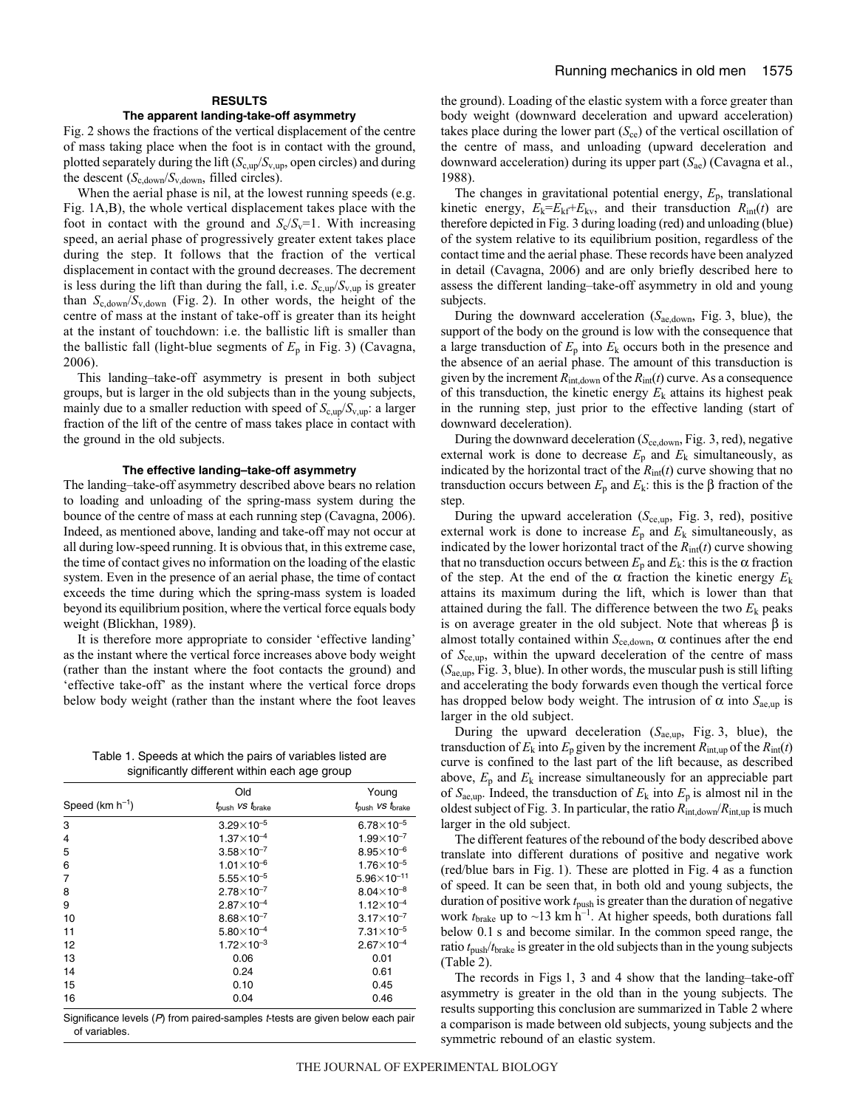### **RESULTS**

#### **The apparent landing-take-off asymmetry**

Fig. 2 shows the fractions of the vertical displacement of the centre of mass taking place when the foot is in contact with the ground, plotted separately during the lift (*S*c,up/*S*v,up, open circles) and during the descent  $(S_{c,down}/S_{v,down},$  filled circles).

When the aerial phase is nil, at the lowest running speeds (e.g. Fig. 1A,B), the whole vertical displacement takes place with the foot in contact with the ground and  $S_c/S_v=1$ . With increasing speed, an aerial phase of progressively greater extent takes place during the step. It follows that the fraction of the vertical displacement in contact with the ground decreases. The decrement is less during the lift than during the fall, i.e.  $S_{c,up}/S_{v,up}$  is greater than  $S_{c,down}/S_{v,down}$  (Fig. 2). In other words, the height of the centre of mass at the instant of take-off is greater than its height at the instant of touchdown: i.e. the ballistic lift is smaller than the ballistic fall (light-blue segments of  $E_p$  in Fig. 3) (Cavagna, 2006).

This landing–take-off asymmetry is present in both subject groups, but is larger in the old subjects than in the young subjects, mainly due to a smaller reduction with speed of  $S_{c,up}/S_{v,up}$ : a larger fraction of the lift of the centre of mass takes place in contact with the ground in the old subjects.

#### **The effective landing–take-off asymmetry**

The landing–take-off asymmetry described above bears no relation to loading and unloading of the spring-mass system during the bounce of the centre of mass at each running step (Cavagna, 2006). Indeed, as mentioned above, landing and take-off may not occur at all during low-speed running. It is obvious that, in this extreme case, the time of contact gives no information on the loading of the elastic system. Even in the presence of an aerial phase, the time of contact exceeds the time during which the spring-mass system is loaded beyond its equilibrium position, where the vertical force equals body weight (Blickhan, 1989).

It is therefore more appropriate to consider 'effective landing' as the instant where the vertical force increases above body weight (rather than the instant where the foot contacts the ground) and 'effective take-off' as the instant where the vertical force drops below body weight (rather than the instant where the foot leaves

Table 1. Speeds at which the pairs of variables listed are significantly different within each age group

|                     | Old                                     | Young                                   |
|---------------------|-----------------------------------------|-----------------------------------------|
| Speed $(km h^{-1})$ | $t_{\text{push}}$ VS $t_{\text{brake}}$ | $t_{\text{push}}$ VS $t_{\text{brake}}$ |
| 3                   | $3.29\times10^{-5}$                     | $6.78\times10^{-5}$                     |
| 4                   | $1.37\times10^{-4}$                     | $1.99\times10^{-7}$                     |
| 5                   | $3.58 \times 10^{-7}$                   | $8.95\times10^{-6}$                     |
| 6                   | $1.01\times10^{-6}$                     | $1.76 \times 10^{-5}$                   |
| 7                   | $5.55\times10^{-5}$                     | $5.96\times10^{-11}$                    |
| 8                   | $2.78 \times 10^{-7}$                   | $8.04\times10^{-8}$                     |
| 9                   | $2.87\times10^{-4}$                     | $1.12\times10^{-4}$                     |
| 10                  | $8.68\times10^{-7}$                     | $3.17\times10^{-7}$                     |
| 11                  | $5.80\times10^{-4}$                     | $7.31 \times 10^{-5}$                   |
| 12                  | $1.72\times10^{-3}$                     | $2.67\times10^{-4}$                     |
| 13                  | 0.06                                    | 0.01                                    |
| 14                  | 0.24                                    | 0.61                                    |
| 15                  | 0.10                                    | 0.45                                    |
| 16                  | 0.04                                    | 0.46                                    |
|                     |                                         |                                         |

Significance levels (P) from paired-samples *t*-tests are given below each pair of variables.

the ground). Loading of the elastic system with a force greater than body weight (downward deceleration and upward acceleration) takes place during the lower part  $(S_{ce})$  of the vertical oscillation of the centre of mass, and unloading (upward deceleration and downward acceleration) during its upper part (*S*ae) (Cavagna et al., 1988).

The changes in gravitational potential energy,  $E_p$ , translational kinetic energy,  $E_k = E_{kf} + E_{kv}$ , and their transduction  $R_{int}(t)$  are therefore depicted in Fig. 3 during loading (red) and unloading (blue) of the system relative to its equilibrium position, regardless of the contact time and the aerial phase. These records have been analyzed in detail (Cavagna, 2006) and are only briefly described here to assess the different landing–take-off asymmetry in old and young subjects.

During the downward acceleration (*S*<sub>ae,down</sub>, Fig. 3, blue), the support of the body on the ground is low with the consequence that a large transduction of  $E_p$  into  $E_k$  occurs both in the presence and the absence of an aerial phase. The amount of this transduction is given by the increment  $R_{\text{int,down}}$  of the  $R_{\text{int}}(t)$  curve. As a consequence of this transduction, the kinetic energy  $E_k$  attains its highest peak in the running step, just prior to the effective landing (start of downward deceleration).

During the downward deceleration (*S*<sub>ce,down</sub>, Fig. 3, red), negative external work is done to decrease  $E_p$  and  $E_k$  simultaneously, as indicated by the horizontal tract of the  $R_{\text{int}}(t)$  curve showing that no transduction occurs between  $E_p$  and  $E_k$ : this is the β fraction of the step.

During the upward acceleration (S<sub>ce,up</sub>, Fig. 3, red), positive external work is done to increase  $E_p$  and  $E_k$  simultaneously, as indicated by the lower horizontal tract of the  $R_{\text{int}}(t)$  curve showing that no transduction occurs between  $E_p$  and  $E_k$ : this is the  $\alpha$  fraction of the step. At the end of the  $\alpha$  fraction the kinetic energy  $E_k$ attains its maximum during the lift, which is lower than that attained during the fall. The difference between the two  $E<sub>k</sub>$  peaks is on average greater in the old subject. Note that whereas β is almost totally contained within  $S_{ce,down}$ ,  $\alpha$  continues after the end of *S*ce,up, within the upward deceleration of the centre of mass  $(S_{ae,up}, Fig. 3, blue)$ . In other words, the muscular push is still lifting and accelerating the body forwards even though the vertical force has dropped below body weight. The intrusion of  $\alpha$  into  $S_{\text{ae,up}}$  is larger in the old subject.

During the upward deceleration (S<sub>ae,up</sub>, Fig. 3, blue), the transduction of  $E_k$  into  $E_p$  given by the increment  $R_{int,up}$  of the  $R_{int}(t)$ curve is confined to the last part of the lift because, as described above,  $E_p$  and  $E_k$  increase simultaneously for an appreciable part of  $S_{\text{ae,up}}$ . Indeed, the transduction of  $E_k$  into  $E_p$  is almost nil in the oldest subject of Fig. 3. In particular, the ratio  $R_{int,down}/R_{int,up}$  is much larger in the old subject.

The different features of the rebound of the body described above translate into different durations of positive and negative work (red/blue bars in Fig. 1). These are plotted in Fig. 4 as a function of speed. It can be seen that, in both old and young subjects, the duration of positive work  $t_{\text{push}}$  is greater than the duration of negative work  $t_{\text{brake}}$  up to ~13 km h<sup>-1</sup>. At higher speeds, both durations fall below 0.1 s and become similar. In the common speed range, the ratio *t*push/*t*brake is greater in the old subjects than in the young subjects  $(Table 2)$ .

The records in Figs 1, 3 and 4 show that the landing–take-off asymmetry is greater in the old than in the young subjects. The results supporting this conclusion are summarized in Table 2 where a comparison is made between old subjects, young subjects and the symmetric rebound of an elastic system.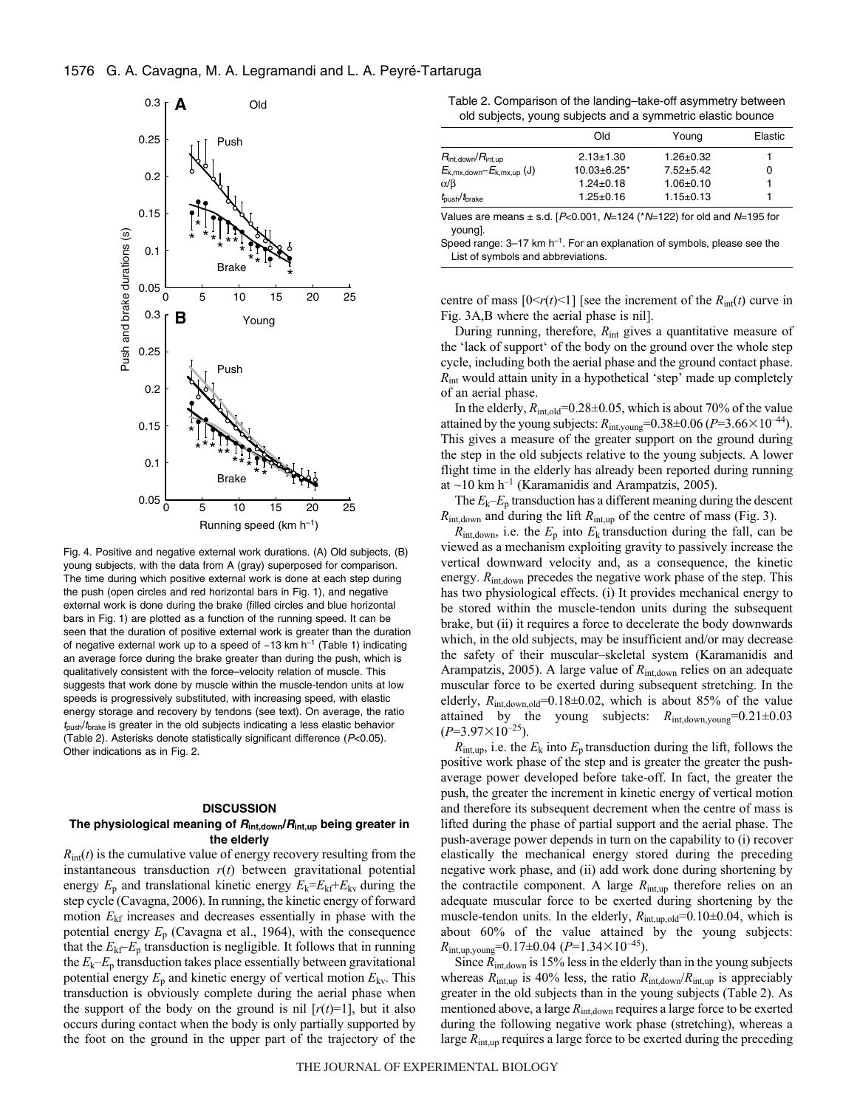



Fig. 4. Positive and negative external work durations. (A) Old subjects, (B) young subjects, with the data from A (gray) superposed for comparison. The time during which positive external work is done at each step during the push (open circles and red horizontal bars in Fig. 1), and negative external work is done during the brake (filled circles and blue horizontal bars in Fig. 1) are plotted as a function of the running speed. It can be seen that the duration of positive external work is greater than the duration of negative external work up to a speed of  $~13~km~h^{-1}$  (Table 1) indicating an average force during the brake greater than during the push, which is qualitatively consistent with the force–velocity relation of muscle. This suggests that work done by muscle within the muscle-tendon units at low speeds is progressively substituted, with increasing speed, with elastic energy storage and recovery by tendons (see text). On average, the ratio  $t_{\text{push}}/t_{\text{brake}}$  is greater in the old subjects indicating a less elastic behavior (Table 2). Asterisks denote statistically significant difference ( $P$ <0.05). Other indications as in Fig. 2.

# **DISCUSSION**

## **The physiological meaning of Rint,down/<sup>R</sup>int,up being greater in the elderly**

 $R_{\text{int}}(t)$  is the cumulative value of energy recovery resulting from the instantaneous transduction  $r(t)$  between gravitational potential energy  $E_p$  and translational kinetic energy  $E_k = E_{kt} + E_{kv}$  during the step cycle (Cavagna, 2006). In running, the kinetic energy of forward motion *E*kf increases and decreases essentially in phase with the potential energy  $E_p$  (Cavagna et al., 1964), with the consequence that the  $E_{\text{kf}}-E_{\text{p}}$  transduction is negligible. It follows that in running the  $E_k - E_p$  transduction takes place essentially between gravitational potential energy  $E_p$  and kinetic energy of vertical motion  $E_{kv}$ . This transduction is obviously complete during the aerial phase when the support of the body on the ground is nil  $[r(t)=1]$ , but it also occurs during contact when the body is only partially supported by the foot on the ground in the upper part of the trajectory of the

| Table 2. Comparison of the landing-take-off asymmetry between |                                                             |  |  |
|---------------------------------------------------------------|-------------------------------------------------------------|--|--|
|                                                               | old subjects, young subjects and a symmetric elastic bounce |  |  |

|                                         | Old                | Young           | Elastic |
|-----------------------------------------|--------------------|-----------------|---------|
| $R_{\text{int,down}}/R_{\text{int,up}}$ | $2.13 \pm 1.30$    | $1.26 \pm 0.32$ |         |
| $E_{k,mx,down}$ $- E_{k,mx,up}$ (J)     | $10.03 \pm 6.25$ * | $7.52 + 5.42$   | 0       |
| α/β                                     | $1.24 \pm 0.18$    | $1.06 \pm 0.10$ |         |
| $t_{\text{push}}/t_{\text{brake}}$      | $1.25 \pm 0.16$    | $1.15 \pm 0.13$ |         |

Values are means  $\pm$  s.d. [P<0.001, N=124 (\*N=122) for old and N=195 for young].

Speed range:  $3-17$  km h<sup>-1</sup>. For an explanation of symbols, please see the List of symbols and abbreviations.

centre of mass  $[0 \le r(t) \le 1]$  [see the increment of the  $R_{int}(t)$  curve in Fig. 3A,B where the aerial phase is nil].

During running, therefore, *R*int gives a quantitative measure of the 'lack of support' of the body on the ground over the whole step cycle, including both the aerial phase and the ground contact phase. *R*<sub>int</sub> would attain unity in a hypothetical 'step' made up completely of an aerial phase.

In the elderly,  $R_{int, old}$ =0.28 $\pm$ 0.05, which is about 70% of the value attained by the young subjects:  $R_{\text{int, young}} = 0.38 \pm 0.06$  ( $P = 3.66 \times 10^{-44}$ ). This gives a measure of the greater support on the ground during the step in the old subjects relative to the young subjects. A lower flight time in the elderly has already been reported during running at ~10 km  $h^{-1}$  (Karamanidis and Arampatzis, 2005).

The  $E_k - E_p$  transduction has a different meaning during the descent  $R_{\text{int,down}}$  and during the lift  $R_{\text{int,up}}$  of the centre of mass (Fig. 3).

 $R_{\text{int,down}}$ , i.e. the  $E_p$  into  $E_k$  transduction during the fall, can be viewed as a mechanism exploiting gravity to passively increase the vertical downward velocity and, as a consequence, the kinetic energy.  $R_{\text{int,down}}$  precedes the negative work phase of the step. This has two physiological effects. (i) It provides mechanical energy to be stored within the muscle-tendon units during the subsequent brake, but (ii) it requires a force to decelerate the body downwards which, in the old subjects, may be insufficient and/or may decrease the safety of their muscular–skeletal system (Karamanidis and Arampatzis, 2005). A large value of  $R_{\text{int,down}}$  relies on an adequate muscular force to be exerted during subsequent stretching. In the elderly,  $R_{int,down,old}$ =0.18±0.02, which is about 85% of the value attained by the young subjects:  $R_{int,down,young} = 0.21 \pm 0.03$  $(P=3.97\times10^{-25})$ .

 $R_{\text{int,up}}$ , i.e. the  $E_k$  into  $E_p$  transduction during the lift, follows the positive work phase of the step and is greater the greater the pushaverage power developed before take-off. In fact, the greater the push, the greater the increment in kinetic energy of vertical motion and therefore its subsequent decrement when the centre of mass is lifted during the phase of partial support and the aerial phase. The push-average power depends in turn on the capability to (i) recover elastically the mechanical energy stored during the preceding negative work phase, and (ii) add work done during shortening by the contractile component. A large  $R_{int,up}$  therefore relies on an adequate muscular force to be exerted during shortening by the muscle-tendon units. In the elderly,  $R_{int,up,old}$ =0.10±0.04, which is about 60% of the value attained by the young subjects:  $R_{\text{int,up,young}} = 0.17 \pm 0.04 \ (P = 1.34 \times 10^{-45}).$ 

Since  $R_{\text{int,down}}$  is 15% less in the elderly than in the young subjects whereas  $R_{\text{int,up}}$  is 40% less, the ratio  $R_{\text{int,down}}/R_{\text{int,up}}$  is appreciably greater in the old subjects than in the young subjects (Table 2). As mentioned above, a large  $R_{\text{int,down}}$  requires a large force to be exerted during the following negative work phase (stretching), whereas a large *R*int,up requires a large force to be exerted during the preceding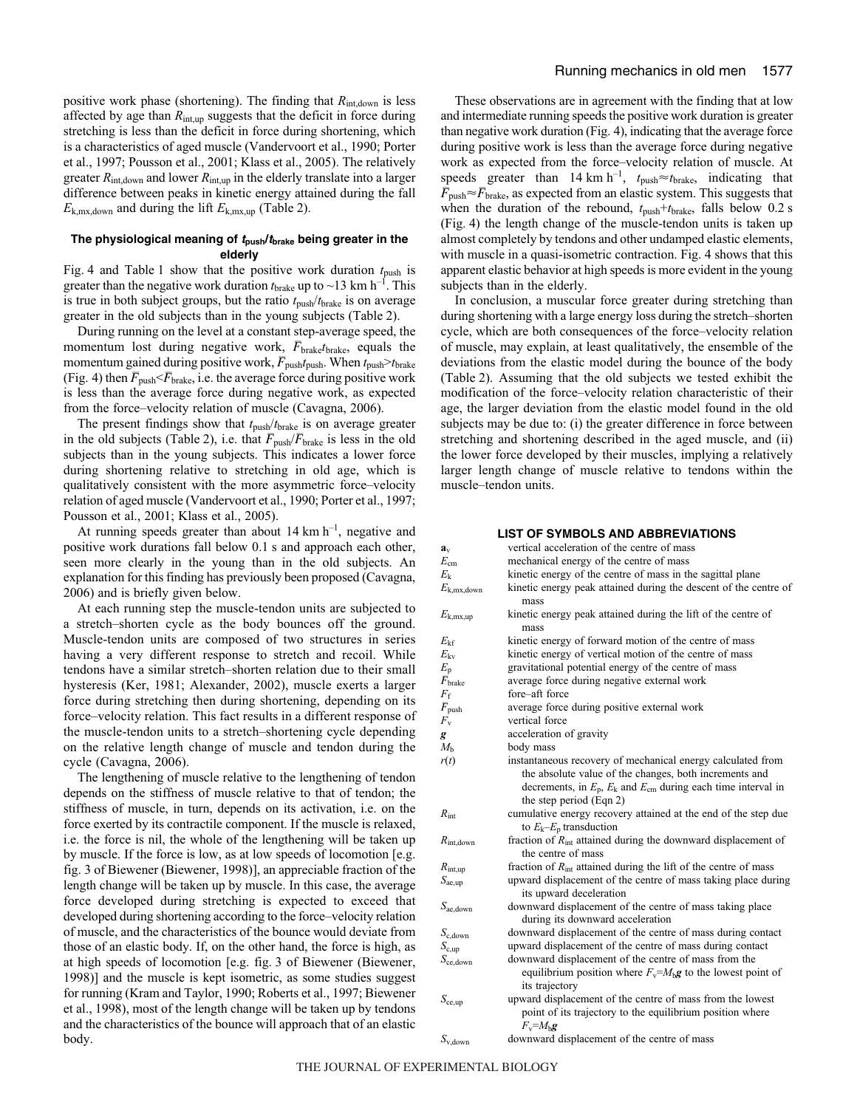positive work phase (shortening). The finding that  $R_{int,down}$  is less affected by age than  $R_{\text{int,up}}$  suggests that the deficit in force during stretching is less than the deficit in force during shortening, which is a characteristics of aged muscle (Vandervoort et al., 1990; Porter et al., 1997; Pousson et al., 2001; Klass et al., 2005). The relatively greater *R*int,down and lower *R*int,up in the elderly translate into a larger difference between peaks in kinetic energy attained during the fall  $E_{k,mx,down}$  and during the lift  $E_{k,mx,up}$  (Table 2).

#### **The physiological meaning of tpush/<sup>t</sup>brake being greater in the elderly**

Fig. 4 and Table 1 show that the positive work duration  $t_{\text{push}}$  is greater than the negative work duration  $t_{\text{brake}}$  up to ~13 km  $h^{-1}$ . This is true in both subject groups, but the ratio  $t_{\text{push}}/t_{\text{brake}}$  is on average greater in the old subjects than in the young subjects (Table 2).

During running on the level at a constant step-average speed, the momentum lost during negative work, *F*brake*t*brake, equals the momentum gained during positive work,  $\overline{F}_{\text{push}}t_{\text{push}}$ . When  $t_{\text{push}} > t_{\text{brake}}$ (Fig. 4) then  $\overline{F}_{\text{push}} < \overline{F}_{\text{brake}}$ , i.e. the average force during positive work is less than the average force during negative work, as expected from the force–velocity relation of muscle (Cavagna, 2006).

The present findings show that  $t_{\text{push}}/t_{\text{brake}}$  is on average greater in the old subjects (Table 2), i.e. that  $\overline{F}_{\text{push}}/\overline{F}_{\text{brake}}$  is less in the old subjects than in the young subjects. This indicates a lower force during shortening relative to stretching in old age, which is qualitatively consistent with the more asymmetric force–velocity relation of aged muscle (Vandervoort et al., 1990; Porter et al., 1997; Pousson et al., 2001; Klass et al., 2005).

At running speeds greater than about  $14 \text{ km h}^{-1}$ , negative and positive work durations fall below 0.1 s and approach each other, seen more clearly in the young than in the old subjects. An explanation for this finding has previously been proposed (Cavagna, 2006) and is briefly given below.

At each running step the muscle-tendon units are subjected to a stretch–shorten cycle as the body bounces off the ground. Muscle-tendon units are composed of two structures in series having a very different response to stretch and recoil. While tendons have a similar stretch–shorten relation due to their small hysteresis (Ker, 1981; Alexander, 2002), muscle exerts a larger force during stretching then during shortening, depending on its force–velocity relation. This fact results in a different response of the muscle-tendon units to a stretch–shortening cycle depending on the relative length change of muscle and tendon during the cycle (Cavagna, 2006).

The lengthening of muscle relative to the lengthening of tendon depends on the stiffness of muscle relative to that of tendon; the stiffness of muscle, in turn, depends on its activation, i.e. on the force exerted by its contractile component. If the muscle is relaxed, i.e. the force is nil, the whole of the lengthening will be taken up by muscle. If the force is low, as at low speeds of locomotion [e.g. fig. 3 of Biewener (Biewener, 1998)], an appreciable fraction of the length change will be taken up by muscle. In this case, the average force developed during stretching is expected to exceed that developed during shortening according to the force–velocity relation of muscle, and the characteristics of the bounce would deviate from those of an elastic body. If, on the other hand, the force is high, as at high speeds of locomotion [e.g. fig. 3 of Biewener (Biewener, 1998)] and the muscle is kept isometric, as some studies suggest for running (Kram and Taylor, 1990; Roberts et al., 1997; Biewener et al., 1998), most of the length change will be taken up by tendons and the characteristics of the bounce will approach that of an elastic body.

These observations are in agreement with the finding that at low and intermediate running speeds the positive work duration is greater than negative work duration (Fig. 4), indicating that the average force during positive work is less than the average force during negative work as expected from the force–velocity relation of muscle. At speeds greater than 14 km h<sup>-1</sup>,  $t_{\text{push}} \approx t_{\text{brake}}$ , indicating that  $\bar{F}_{\text{push}} \approx \bar{F}_{\text{brake}}$ , as expected from an elastic system. This suggests that when the duration of the rebound,  $t_{\text{push}}+t_{\text{brake}}$ , falls below 0.2 s (Fig. 4) the length change of the muscle-tendon units is taken up almost completely by tendons and other undamped elastic elements, with muscle in a quasi-isometric contraction. Fig. 4 shows that this apparent elastic behavior at high speeds is more evident in the young subjects than in the elderly.

In conclusion, a muscular force greater during stretching than during shortening with a large energy loss during the stretch–shorten cycle, which are both consequences of the force–velocity relation of muscle, may explain, at least qualitatively, the ensemble of the deviations from the elastic model during the bounce of the body (Table 2). Assuming that the old subjects we tested exhibit the modification of the force–velocity relation characteristic of their age, the larger deviation from the elastic model found in the old subjects may be due to: (i) the greater difference in force between stretching and shortening described in the aged muscle, and (ii) the lower force developed by their muscles, implying a relatively larger length change of muscle relative to tendons within the muscle–tendon units.

#### **LIST OF SYMBOLS AND ABBREVIATIONS**

| $a_v$                 | vertical acceleration of the centre of mass                                                                                                                                                                                |
|-----------------------|----------------------------------------------------------------------------------------------------------------------------------------------------------------------------------------------------------------------------|
| $E_{\rm cm}$          | mechanical energy of the centre of mass                                                                                                                                                                                    |
| $E_{k}$               | kinetic energy of the centre of mass in the sagittal plane                                                                                                                                                                 |
| $E_{\rm k, mx, down}$ | kinetic energy peak attained during the descent of the centre of<br>mass                                                                                                                                                   |
| $E_{k,\text{mx,up}}$  | kinetic energy peak attained during the lift of the centre of<br>mass                                                                                                                                                      |
| $E_{\rm kf}$          | kinetic energy of forward motion of the centre of mass                                                                                                                                                                     |
| $E_{\rm kv}$          | kinetic energy of vertical motion of the centre of mass                                                                                                                                                                    |
| $E_{\rm p}$           | gravitational potential energy of the centre of mass                                                                                                                                                                       |
| $\bar{F}_{\rm brake}$ | average force during negative external work                                                                                                                                                                                |
| $F_{\rm f}$           | fore-aft force                                                                                                                                                                                                             |
| $\bar{F}_{\rm push}$  | average force during positive external work                                                                                                                                                                                |
| $F_{\rm v}$           | vertical force                                                                                                                                                                                                             |
| g                     | acceleration of gravity                                                                                                                                                                                                    |
| $M_{\rm b}$           | body mass                                                                                                                                                                                                                  |
| r(t)                  | instantaneous recovery of mechanical energy calculated from<br>the absolute value of the changes, both increments and<br>decrements, in $E_p$ , $E_k$ and $E_{cm}$ during each time interval in<br>the step period (Eqn 2) |
| $R_{\text{int}}$      | cumulative energy recovery attained at the end of the step due                                                                                                                                                             |
|                       | to $E_k$ - $E_p$ transduction                                                                                                                                                                                              |
| $R_{\text{int,down}}$ | fraction of $R_{\text{int}}$ attained during the downward displacement of<br>the centre of mass                                                                                                                            |
| $R_{\text{int,up}}$   | fraction of $R_{\text{int}}$ attained during the lift of the centre of mass                                                                                                                                                |
| $S_{ae,up}$           | upward displacement of the centre of mass taking place during<br>its upward deceleration                                                                                                                                   |
| $S_{ae,down}$         | downward displacement of the centre of mass taking place<br>during its downward acceleration                                                                                                                               |
| $S_{c,down}$          | downward displacement of the centre of mass during contact                                                                                                                                                                 |
| $S_{c,up}$            | upward displacement of the centre of mass during contact                                                                                                                                                                   |
| $S_{ce,down}$         | downward displacement of the centre of mass from the<br>equilibrium position where $F_v = M_h g$ to the lowest point of<br>its trajectory                                                                                  |
| $S_{ce,up}$           | upward displacement of the centre of mass from the lowest<br>point of its trajectory to the equilibrium position where<br>$F_v = M_h g$                                                                                    |
| $S_{v,down}$          | downward displacement of the centre of mass                                                                                                                                                                                |